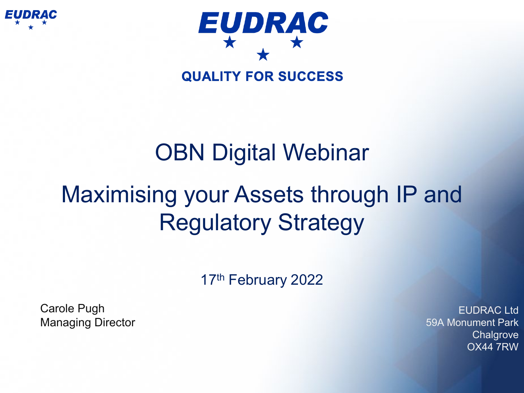



### **OBN Digital Webinar**

## Maximising your Assets through IP and Regulatory Strategy

17<sup>th</sup> February 2022

Carole Pugh Managing Director

EUDRAC Ltd 59A Monument Park **Chalgrove** OX44 7RW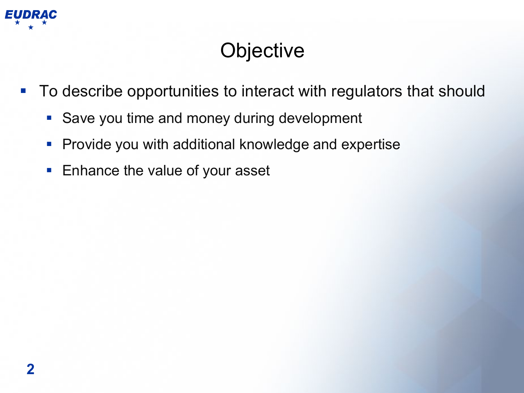

#### **Objective**

- To describe opportunities to interact with regulators that should
	- Save you time and money during development
	- **Provide you with additional knowledge and expertise**
	- **Enhance the value of your asset**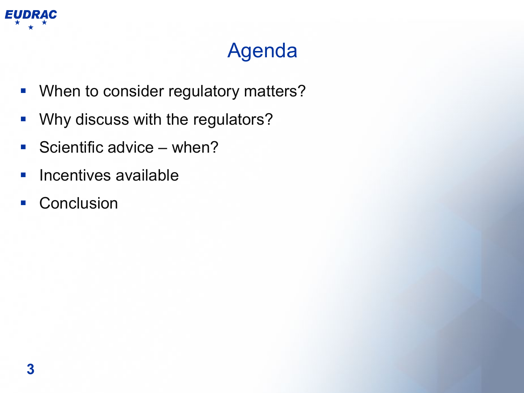

#### Agenda

- **When to consider regulatory matters?**
- **Why discuss with the regulators?**
- Scientific advice  $-$  when?
- **Incentives available**
- **Conclusion**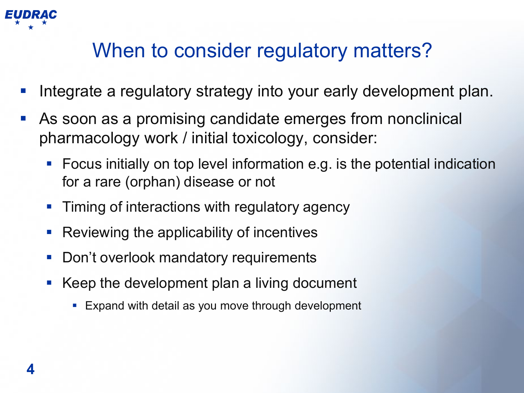

#### When to consider regulatory matters?

- Integrate a regulatory strategy into your early development plan.
- As soon as a promising candidate emerges from nonclinical pharmacology work / initial toxicology, consider:
	- Focus initially on top level information e.g. is the potential indication for a rare (orphan) disease or not
	- **Timing of interactions with regulatory agency**
	- Reviewing the applicability of incentives
	- Don't overlook mandatory requirements
	- Keep the development plan a living document
		- **Expand with detail as you move through development**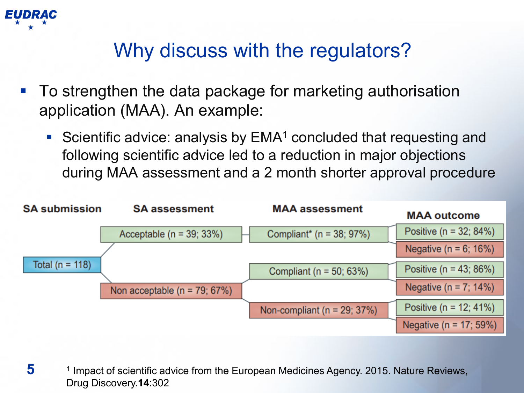

#### Why discuss with the regulators?

- To strengthen the data package for marketing authorisation application (MAA). An example:
	- Scientific advice: analysis by  $EMA<sup>1</sup>$  concluded that requesting and following scientific advice led to a reduction in major objections during MAA assessment and a 2 month shorter approval procedure



**5** <sup>1</sup> Impact of scientific advice from the European Medicines Agency. 2015. Nature Reviews, Drug Discovery.**14**:302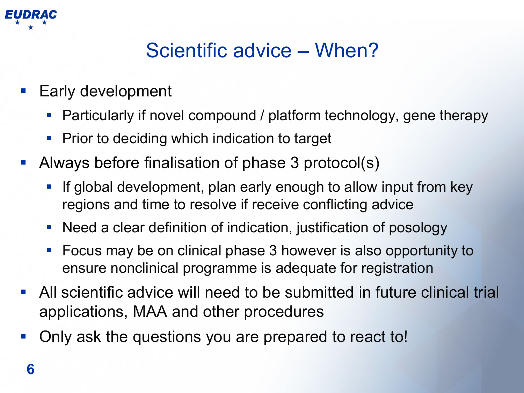

#### Scientific advice – When?

- Early development
	- Particularly if novel compound / platform technology, gene therapy
	- **Prior to deciding which indication to target**
- Always before finalisation of phase 3 protocol(s)
	- **If global development, plan early enough to allow input from key** regions and time to resolve if receive conflicting advice
	- Need a clear definition of indication, justification of posology
	- **Focus may be on clinical phase 3 however is also opportunity to** ensure nonclinical programme is adequate for registration
- All scientific advice will need to be submitted in future clinical trial applications, MAA and other procedures
- Only ask the questions you are prepared to react to!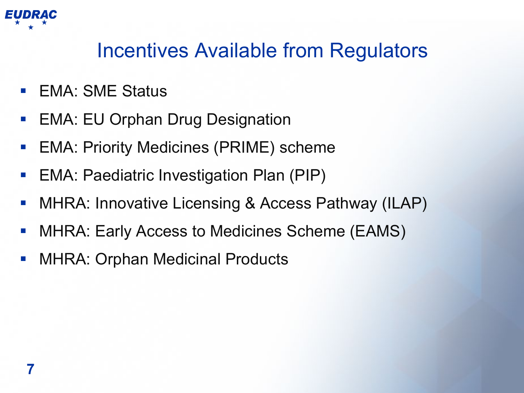

#### Incentives Available from Regulators

- EMA: SME Status
- EMA: EU Orphan Drug Designation
- EMA: Priority Medicines (PRIME) scheme
- EMA: Paediatric Investigation Plan (PIP)
- MHRA: Innovative Licensing & Access Pathway (ILAP)
- MHRA: Early Access to Medicines Scheme (EAMS)
- MHRA: Orphan Medicinal Products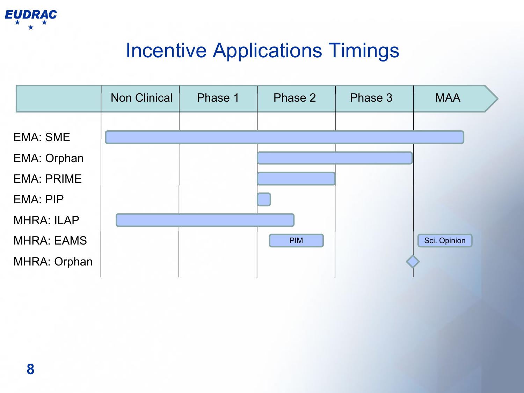

#### Incentive Applications Timings

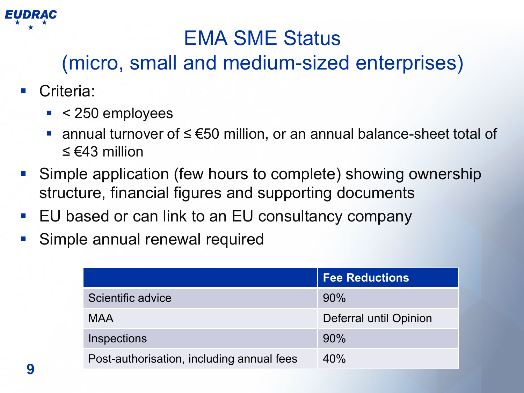

#### EMA SME Status

#### (micro, small and medium-sized enterprises)

- Criteria:
	- $\sim$  < 250 employees
	- annual turnover of ≤ €50 million, or an annual balance-sheet total of ≤ €43 million
- Simple application (few hours to complete) showing ownership structure, financial figures and supporting documents
- EU based or can link to an EU consultancy company
- Simple annual renewal required

|                                           | <b>Fee Reductions</b>  |
|-------------------------------------------|------------------------|
| Scientific advice                         | 90%                    |
| <b>MAA</b>                                | Deferral until Opinion |
| Inspections                               | 90%                    |
| Post-authorisation, including annual fees | 40%                    |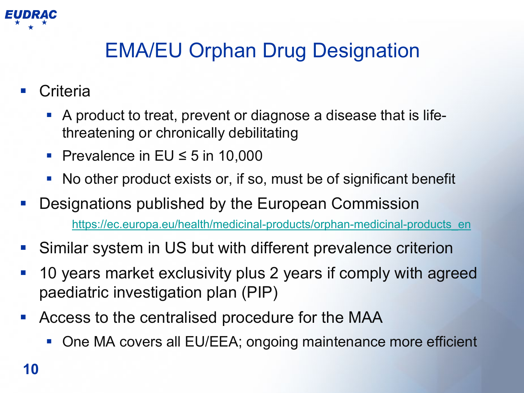

#### EMA/EU Orphan Drug Designation

- **Criteria** 
	- A product to treat, prevent or diagnose a disease that is lifethreatening or chronically debilitating
	- Prevalence in  $EU \leq 5$  in 10,000
	- No other product exists or, if so, must be of significant benefit
- Designations published by the European Commission [https://ec.europa.eu/health/medicinal-products/orphan-medicinal-products\\_en](https://ec.europa.eu/health/medicinal-products/orphan-medicinal-products_en)
- Similar system in US but with different prevalence criterion
- 10 years market exclusivity plus 2 years if comply with agreed paediatric investigation plan (PIP)
- Access to the centralised procedure for the MAA
	- One MA covers all EU/EEA; ongoing maintenance more efficient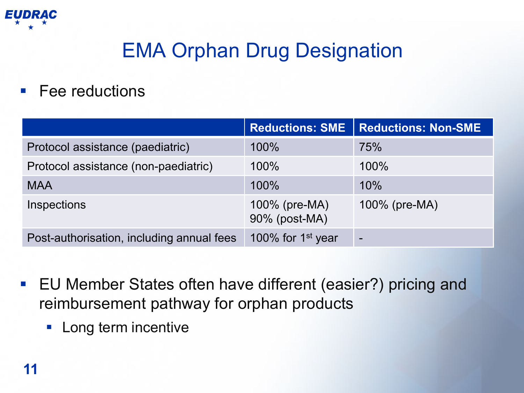

#### EMA Orphan Drug Designation

Fee reductions

|                                           | <b>Reductions: SME</b>         | <b>Reductions: Non-SME</b> |
|-------------------------------------------|--------------------------------|----------------------------|
| Protocol assistance (paediatric)          | 100%                           | 75%                        |
| Protocol assistance (non-paediatric)      | 100%                           | 100%                       |
| <b>MAA</b>                                | 100%                           | 10%                        |
| Inspections                               | 100% (pre-MA)<br>90% (post-MA) | $100\%$ (pre-MA)           |
| Post-authorisation, including annual fees | 100% for $1st$ year            | $\overline{\phantom{0}}$   |

- EU Member States often have different (easier?) pricing and reimbursement pathway for orphan products
	- **Long term incentive**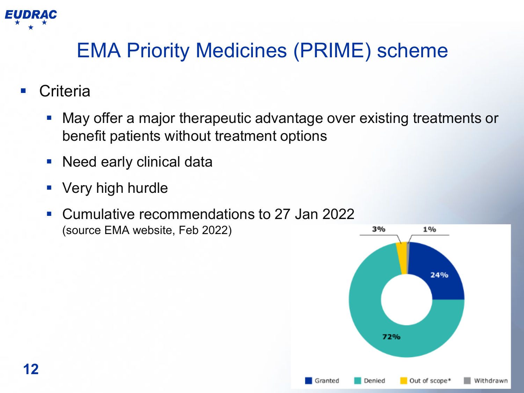

#### EMA Priority Medicines (PRIME) scheme

- **Criteria** 
	- May offer a major therapeutic advantage over existing treatments or benefit patients without treatment options
	- **Need early clinical data**
	- Very high hurdle
	- Cumulative recommendations to 27 Jan 2022 (source EMA website, Feb 2022)

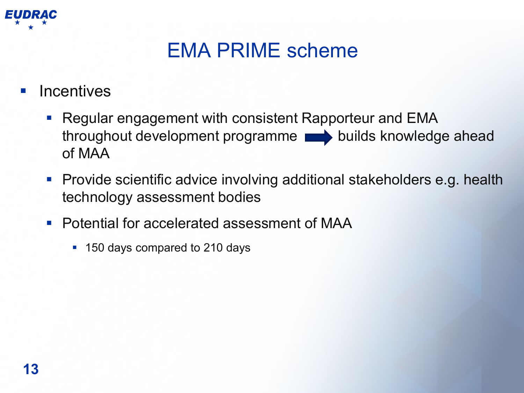

#### EMA PRIME scheme

**Incentives** 

- **Regular engagement with consistent Rapporteur and EMA** throughout development programme **builds** knowledge ahead of MAA
- **Provide scientific advice involving additional stakeholders e.g. health** technology assessment bodies
- Potential for accelerated assessment of MAA
	- 150 days compared to 210 days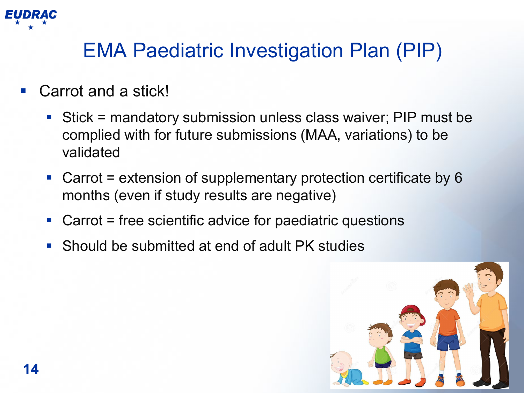

#### EMA Paediatric Investigation Plan (PIP)

- Carrot and a stick!
	- Stick = mandatory submission unless class waiver; PIP must be complied with for future submissions (MAA, variations) to be validated
	- Carrot = extension of supplementary protection certificate by 6 months (even if study results are negative)
	- Carrot = free scientific advice for paediatric questions
	- Should be submitted at end of adult PK studies

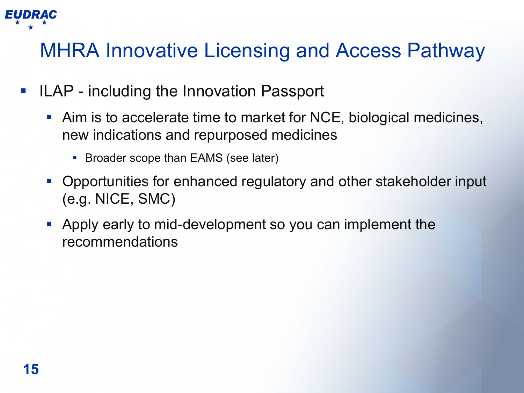

#### MHRA Innovative Licensing and Access Pathway

- ILAP including the Innovation Passport
	- Aim is to accelerate time to market for NCE, biological medicines, new indications and repurposed medicines
		- **Broader scope than EAMS (see later)**
	- Opportunities for enhanced regulatory and other stakeholder input (e.g. NICE, SMC)
	- Apply early to mid-development so you can implement the recommendations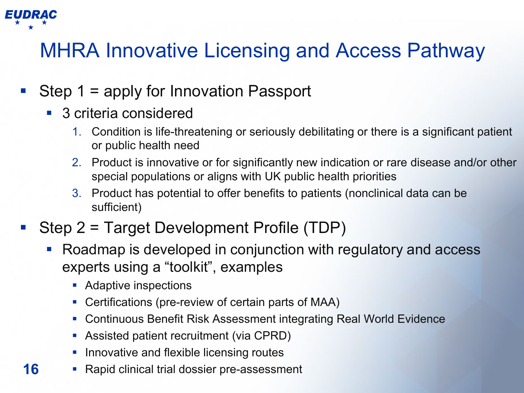

**16**

#### MHRA Innovative Licensing and Access Pathway

- Step 1 = apply for Innovation Passport
	- 3 criteria considered
		- 1. Condition is life-threatening or seriously debilitating or there is a significant patient or public health need
		- 2. Product is innovative or for significantly new indication or rare disease and/or other special populations or aligns with UK public health priorities
		- 3. Product has potential to offer benefits to patients (nonclinical data can be sufficient)
- Step 2 = Target Development Profile (TDP)
	- Roadmap is developed in conjunction with regulatory and access experts using a "toolkit", examples
		- **Adaptive inspections**
		- Certifications (pre-review of certain parts of MAA)
		- Continuous Benefit Risk Assessment integrating Real World Evidence
		- Assisted patient recruitment (via CPRD)
		- **Innovative and flexible licensing routes**
	- Rapid clinical trial dossier pre-assessment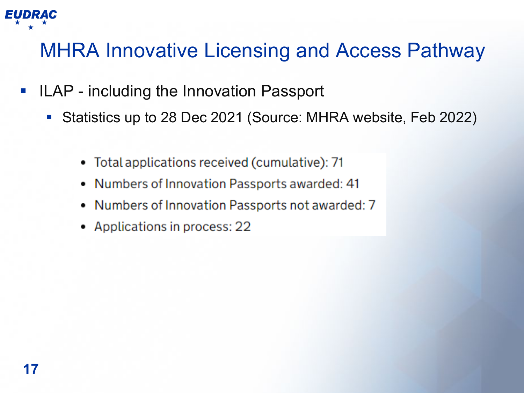

#### MHRA Innovative Licensing and Access Pathway

- **ILAP including the Innovation Passport** 
	- Statistics up to 28 Dec 2021 (Source: MHRA website, Feb 2022)
		- Total applications received (cumulative): 71
		- Numbers of Innovation Passports awarded: 41  $\bullet$
		- Numbers of Innovation Passports not awarded: 7
		- Applications in process: 22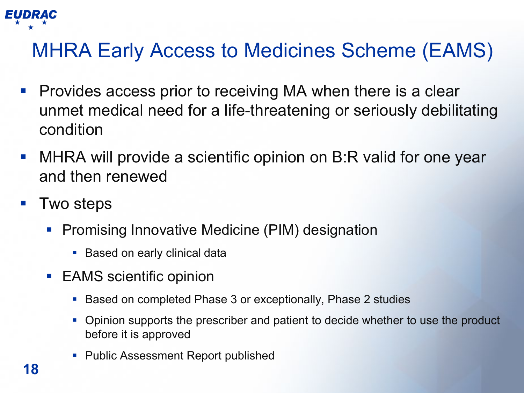

- Provides access prior to receiving MA when there is a clear unmet medical need for a life-threatening or seriously debilitating condition
- MHRA will provide a scientific opinion on B:R valid for one year and then renewed
- Two steps
	- Promising Innovative Medicine (PIM) designation
		- **Based on early clinical data**
	- EAMS scientific opinion
		- Based on completed Phase 3 or exceptionally, Phase 2 studies
		- Opinion supports the prescriber and patient to decide whether to use the product before it is approved
		- **Public Assessment Report published**

EUDRAC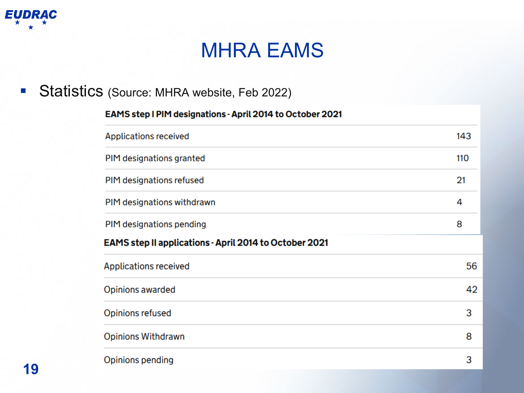

#### MHRA EAMS

#### Statistics (Source: MHRA website, Feb 2022)

# EAMS step I PIM designations - April 2014 to October 2021 **Applications received** PIM designations granted PIM designations refused PIM designations withdrawn

143

110

 $21$ 

4

| PIM designations pending                               | 8  |
|--------------------------------------------------------|----|
| EAMS step II applications - April 2014 to October 2021 |    |
| <b>Applications received</b>                           | 56 |
| Opinions awarded                                       | 42 |
| Opinions refused                                       | 3  |
| <b>Opinions Withdrawn</b>                              | 8  |
| Opinions pending                                       | 3  |
|                                                        |    |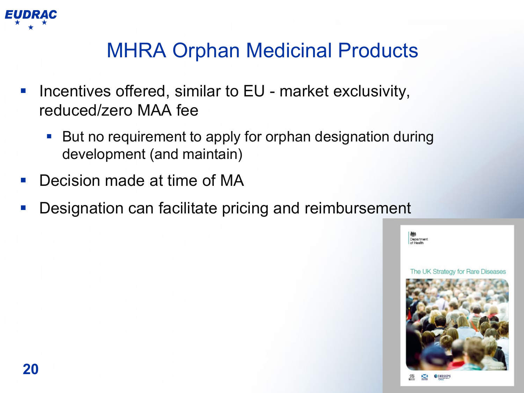

#### MHRA Orphan Medicinal Products

- Incentives offered, similar to EU market exclusivity, reduced/zero MAA fee
	- But no requirement to apply for orphan designation during development (and maintain)
- Decision made at time of MA
- Designation can facilitate pricing and reimbursement

Department

The UK Strategy for Rare Diseases



**20**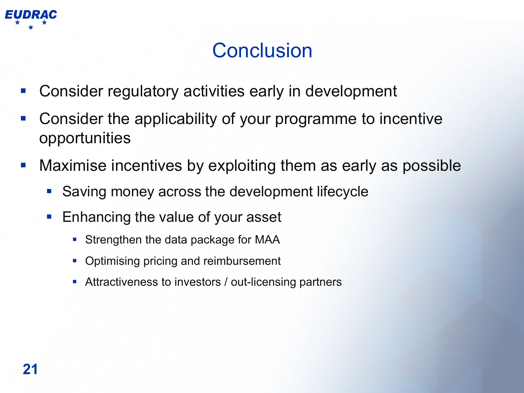

#### **Conclusion**

- Consider regulatory activities early in development
- Consider the applicability of your programme to incentive opportunities
- Maximise incentives by exploiting them as early as possible
	- **Saving money across the development lifecycle**
	- **Enhancing the value of your asset** 
		- Strengthen the data package for MAA
		- Optimising pricing and reimbursement
		- **Attractiveness to investors / out-licensing partners**